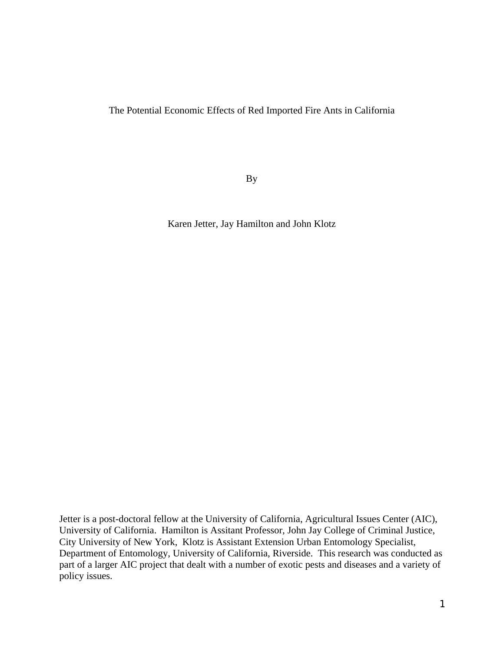The Potential Economic Effects of Red Imported Fire Ants in California

By

Karen Jetter, Jay Hamilton and John Klotz

Jetter is a post-doctoral fellow at the University of California, Agricultural Issues Center (AIC), University of California. Hamilton is Assitant Professor, John Jay College of Criminal Justice, City University of New York, Klotz is Assistant Extension Urban Entomology Specialist, Department of Entomology, University of California, Riverside. This research was conducted as part of a larger AIC project that dealt with a number of exotic pests and diseases and a variety of policy issues.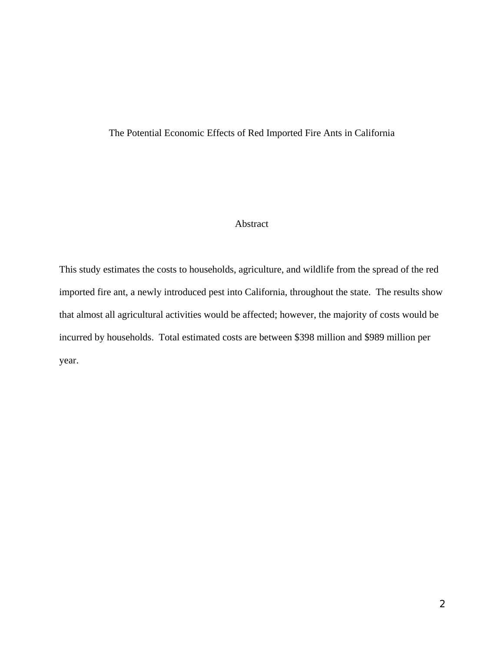# The Potential Economic Effects of Red Imported Fire Ants in California

## Abstract

This study estimates the costs to households, agriculture, and wildlife from the spread of the red imported fire ant, a newly introduced pest into California, throughout the state. The results show that almost all agricultural activities would be affected; however, the majority of costs would be incurred by households. Total estimated costs are between \$398 million and \$989 million per year.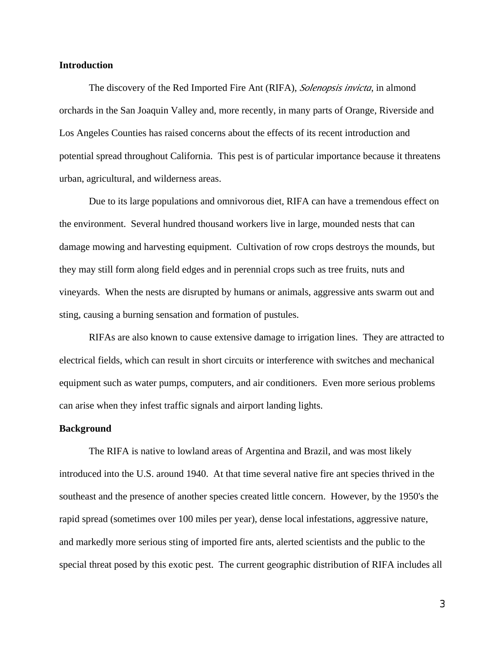### **Introduction**

The discovery of the Red Imported Fire Ant (RIFA), *Solenopsis invicta*, in almond orchards in the San Joaquin Valley and, more recently, in many parts of Orange, Riverside and Los Angeles Counties has raised concerns about the effects of its recent introduction and potential spread throughout California. This pest is of particular importance because it threatens urban, agricultural, and wilderness areas.

Due to its large populations and omnivorous diet, RIFA can have a tremendous effect on the environment. Several hundred thousand workers live in large, mounded nests that can damage mowing and harvesting equipment. Cultivation of row crops destroys the mounds, but they may still form along field edges and in perennial crops such as tree fruits, nuts and vineyards. When the nests are disrupted by humans or animals, aggressive ants swarm out and sting, causing a burning sensation and formation of pustules.

RIFAs are also known to cause extensive damage to irrigation lines. They are attracted to electrical fields, which can result in short circuits or interference with switches and mechanical equipment such as water pumps, computers, and air conditioners. Even more serious problems can arise when they infest traffic signals and airport landing lights.

### **Background**

The RIFA is native to lowland areas of Argentina and Brazil, and was most likely introduced into the U.S. around 1940. At that time several native fire ant species thrived in the southeast and the presence of another species created little concern. However, by the 1950's the rapid spread (sometimes over 100 miles per year), dense local infestations, aggressive nature, and markedly more serious sting of imported fire ants, alerted scientists and the public to the special threat posed by this exotic pest. The current geographic distribution of RIFA includes all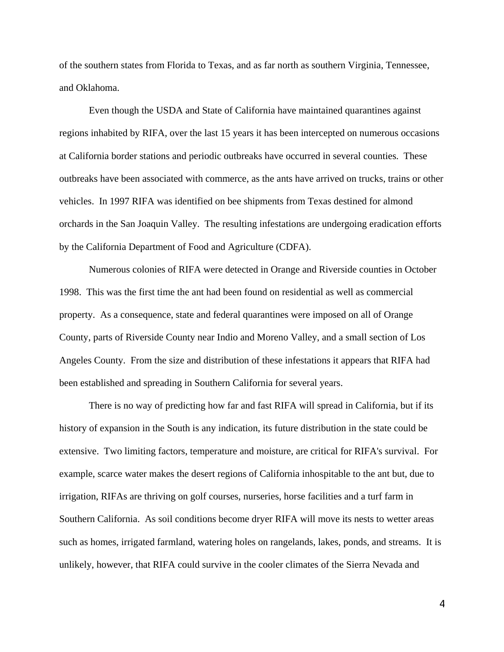of the southern states from Florida to Texas, and as far north as southern Virginia, Tennessee, and Oklahoma.

Even though the USDA and State of California have maintained quarantines against regions inhabited by RIFA, over the last 15 years it has been intercepted on numerous occasions at California border stations and periodic outbreaks have occurred in several counties. These outbreaks have been associated with commerce, as the ants have arrived on trucks, trains or other vehicles. In 1997 RIFA was identified on bee shipments from Texas destined for almond orchards in the San Joaquin Valley. The resulting infestations are undergoing eradication efforts by the California Department of Food and Agriculture (CDFA).

Numerous colonies of RIFA were detected in Orange and Riverside counties in October 1998. This was the first time the ant had been found on residential as well as commercial property. As a consequence, state and federal quarantines were imposed on all of Orange County, parts of Riverside County near Indio and Moreno Valley, and a small section of Los Angeles County. From the size and distribution of these infestations it appears that RIFA had been established and spreading in Southern California for several years.

There is no way of predicting how far and fast RIFA will spread in California, but if its history of expansion in the South is any indication, its future distribution in the state could be extensive. Two limiting factors, temperature and moisture, are critical for RIFA's survival. For example, scarce water makes the desert regions of California inhospitable to the ant but, due to irrigation, RIFAs are thriving on golf courses, nurseries, horse facilities and a turf farm in Southern California. As soil conditions become dryer RIFA will move its nests to wetter areas such as homes, irrigated farmland, watering holes on rangelands, lakes, ponds, and streams. It is unlikely, however, that RIFA could survive in the cooler climates of the Sierra Nevada and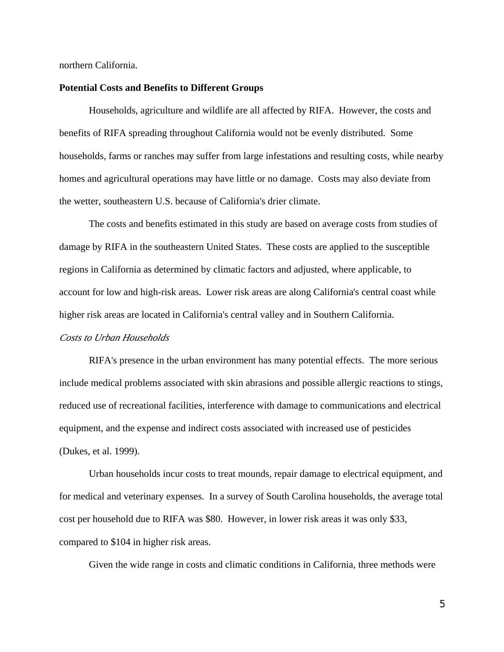northern California.

### **Potential Costs and Benefits to Different Groups**

Households, agriculture and wildlife are all affected by RIFA. However, the costs and benefits of RIFA spreading throughout California would not be evenly distributed. Some households, farms or ranches may suffer from large infestations and resulting costs, while nearby homes and agricultural operations may have little or no damage. Costs may also deviate from the wetter, southeastern U.S. because of California's drier climate.

The costs and benefits estimated in this study are based on average costs from studies of damage by RIFA in the southeastern United States. These costs are applied to the susceptible regions in California as determined by climatic factors and adjusted, where applicable, to account for low and high-risk areas. Lower risk areas are along California's central coast while higher risk areas are located in California's central valley and in Southern California.

## *Costs to Urban Households*

RIFA's presence in the urban environment has many potential effects. The more serious include medical problems associated with skin abrasions and possible allergic reactions to stings, reduced use of recreational facilities, interference with damage to communications and electrical equipment, and the expense and indirect costs associated with increased use of pesticides (Dukes, et al. 1999).

Urban households incur costs to treat mounds, repair damage to electrical equipment, and for medical and veterinary expenses. In a survey of South Carolina households, the average total cost per household due to RIFA was \$80. However, in lower risk areas it was only \$33, compared to \$104 in higher risk areas.

Given the wide range in costs and climatic conditions in California, three methods were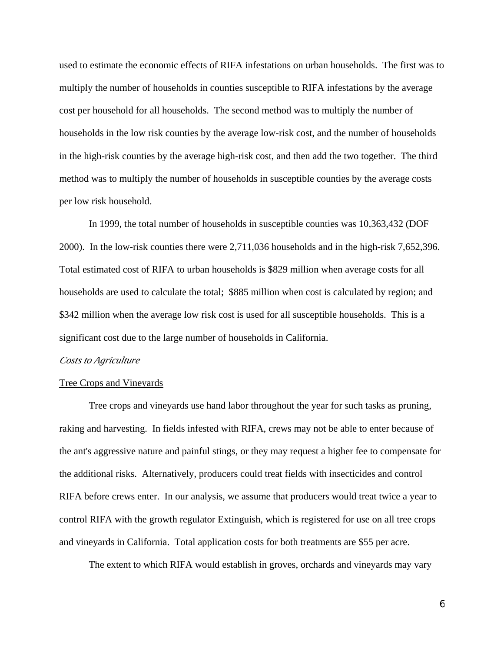used to estimate the economic effects of RIFA infestations on urban households. The first was to multiply the number of households in counties susceptible to RIFA infestations by the average cost per household for all households. The second method was to multiply the number of households in the low risk counties by the average low-risk cost, and the number of households in the high-risk counties by the average high-risk cost, and then add the two together. The third method was to multiply the number of households in susceptible counties by the average costs per low risk household.

In 1999, the total number of households in susceptible counties was 10,363,432 (DOF 2000). In the low-risk counties there were 2,711,036 households and in the high-risk 7,652,396. Total estimated cost of RIFA to urban households is \$829 million when average costs for all households are used to calculate the total; \$885 million when cost is calculated by region; and \$342 million when the average low risk cost is used for all susceptible households. This is a significant cost due to the large number of households in California.

#### *Costs to Agriculture*

#### Tree Crops and Vineyards

Tree crops and vineyards use hand labor throughout the year for such tasks as pruning, raking and harvesting. In fields infested with RIFA, crews may not be able to enter because of the ant's aggressive nature and painful stings, or they may request a higher fee to compensate for the additional risks. Alternatively, producers could treat fields with insecticides and control RIFA before crews enter. In our analysis, we assume that producers would treat twice a year to control RIFA with the growth regulator Extinguish, which is registered for use on all tree crops and vineyards in California. Total application costs for both treatments are \$55 per acre.

The extent to which RIFA would establish in groves, orchards and vineyards may vary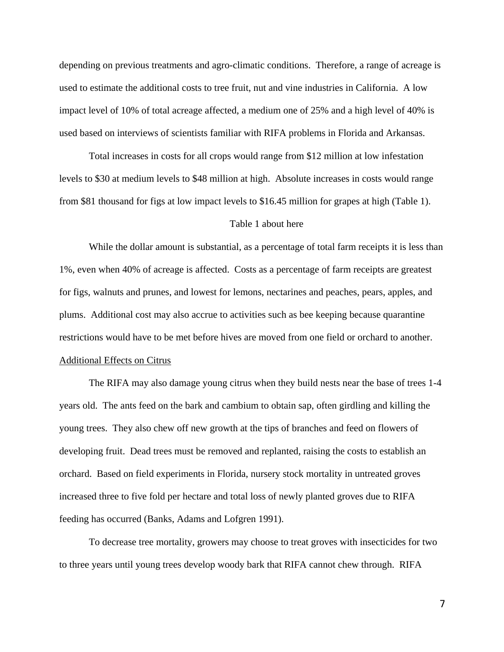depending on previous treatments and agro-climatic conditions. Therefore, a range of acreage is used to estimate the additional costs to tree fruit, nut and vine industries in California. A low impact level of 10% of total acreage affected, a medium one of 25% and a high level of 40% is used based on interviews of scientists familiar with RIFA problems in Florida and Arkansas.

Total increases in costs for all crops would range from \$12 million at low infestation levels to \$30 at medium levels to \$48 million at high. Absolute increases in costs would range from \$81 thousand for figs at low impact levels to \$16.45 million for grapes at high (Table 1).

### Table 1 about here

While the dollar amount is substantial, as a percentage of total farm receipts it is less than 1%, even when 40% of acreage is affected. Costs as a percentage of farm receipts are greatest for figs, walnuts and prunes, and lowest for lemons, nectarines and peaches, pears, apples, and plums. Additional cost may also accrue to activities such as bee keeping because quarantine restrictions would have to be met before hives are moved from one field or orchard to another. Additional Effects on Citrus

The RIFA may also damage young citrus when they build nests near the base of trees 1-4 years old. The ants feed on the bark and cambium to obtain sap, often girdling and killing the young trees. They also chew off new growth at the tips of branches and feed on flowers of developing fruit. Dead trees must be removed and replanted, raising the costs to establish an orchard. Based on field experiments in Florida, nursery stock mortality in untreated groves increased three to five fold per hectare and total loss of newly planted groves due to RIFA feeding has occurred (Banks, Adams and Lofgren 1991).

To decrease tree mortality, growers may choose to treat groves with insecticides for two to three years until young trees develop woody bark that RIFA cannot chew through. RIFA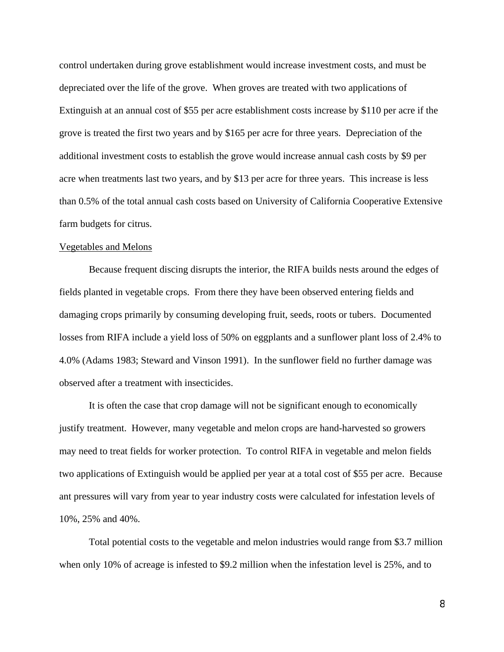control undertaken during grove establishment would increase investment costs, and must be depreciated over the life of the grove. When groves are treated with two applications of Extinguish at an annual cost of \$55 per acre establishment costs increase by \$110 per acre if the grove is treated the first two years and by \$165 per acre for three years. Depreciation of the additional investment costs to establish the grove would increase annual cash costs by \$9 per acre when treatments last two years, and by \$13 per acre for three years. This increase is less than 0.5% of the total annual cash costs based on University of California Cooperative Extensive farm budgets for citrus.

### Vegetables and Melons

Because frequent discing disrupts the interior, the RIFA builds nests around the edges of fields planted in vegetable crops. From there they have been observed entering fields and damaging crops primarily by consuming developing fruit, seeds, roots or tubers. Documented losses from RIFA include a yield loss of 50% on eggplants and a sunflower plant loss of 2.4% to 4.0% (Adams 1983; Steward and Vinson 1991). In the sunflower field no further damage was observed after a treatment with insecticides.

It is often the case that crop damage will not be significant enough to economically justify treatment. However, many vegetable and melon crops are hand-harvested so growers may need to treat fields for worker protection. To control RIFA in vegetable and melon fields two applications of Extinguish would be applied per year at a total cost of \$55 per acre. Because ant pressures will vary from year to year industry costs were calculated for infestation levels of 10%, 25% and 40%.

Total potential costs to the vegetable and melon industries would range from \$3.7 million when only 10% of acreage is infested to \$9.2 million when the infestation level is 25%, and to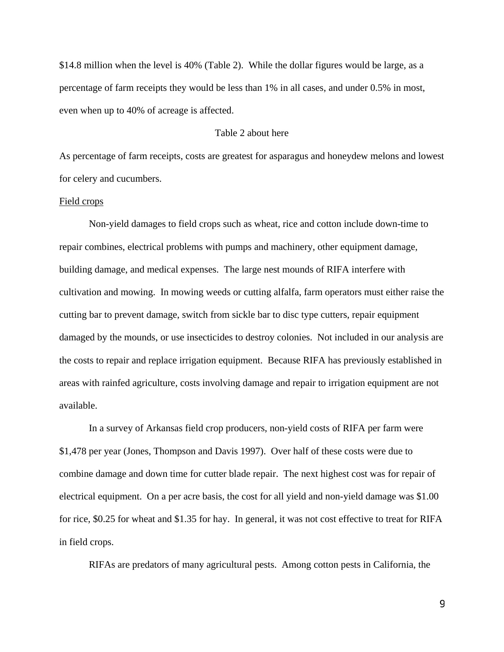\$14.8 million when the level is 40% (Table 2). While the dollar figures would be large, as a percentage of farm receipts they would be less than 1% in all cases, and under 0.5% in most, even when up to 40% of acreage is affected.

## Table 2 about here

As percentage of farm receipts, costs are greatest for asparagus and honeydew melons and lowest for celery and cucumbers.

### Field crops

Non-yield damages to field crops such as wheat, rice and cotton include down-time to repair combines, electrical problems with pumps and machinery, other equipment damage, building damage, and medical expenses. The large nest mounds of RIFA interfere with cultivation and mowing. In mowing weeds or cutting alfalfa, farm operators must either raise the cutting bar to prevent damage, switch from sickle bar to disc type cutters, repair equipment damaged by the mounds, or use insecticides to destroy colonies. Not included in our analysis are the costs to repair and replace irrigation equipment. Because RIFA has previously established in areas with rainfed agriculture, costs involving damage and repair to irrigation equipment are not available.

In a survey of Arkansas field crop producers, non-yield costs of RIFA per farm were \$1,478 per year (Jones, Thompson and Davis 1997). Over half of these costs were due to combine damage and down time for cutter blade repair. The next highest cost was for repair of electrical equipment. On a per acre basis, the cost for all yield and non-yield damage was \$1.00 for rice, \$0.25 for wheat and \$1.35 for hay. In general, it was not cost effective to treat for RIFA in field crops.

RIFAs are predators of many agricultural pests. Among cotton pests in California, the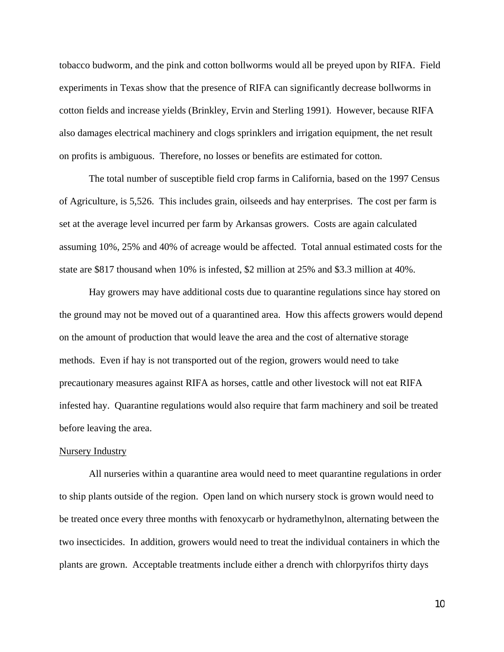tobacco budworm, and the pink and cotton bollworms would all be preyed upon by RIFA. Field experiments in Texas show that the presence of RIFA can significantly decrease bollworms in cotton fields and increase yields (Brinkley, Ervin and Sterling 1991). However, because RIFA also damages electrical machinery and clogs sprinklers and irrigation equipment, the net result on profits is ambiguous. Therefore, no losses or benefits are estimated for cotton.

The total number of susceptible field crop farms in California, based on the 1997 Census of Agriculture, is 5,526. This includes grain, oilseeds and hay enterprises. The cost per farm is set at the average level incurred per farm by Arkansas growers. Costs are again calculated assuming 10%, 25% and 40% of acreage would be affected. Total annual estimated costs for the state are \$817 thousand when 10% is infested, \$2 million at 25% and \$3.3 million at 40%.

Hay growers may have additional costs due to quarantine regulations since hay stored on the ground may not be moved out of a quarantined area. How this affects growers would depend on the amount of production that would leave the area and the cost of alternative storage methods. Even if hay is not transported out of the region, growers would need to take precautionary measures against RIFA as horses, cattle and other livestock will not eat RIFA infested hay. Quarantine regulations would also require that farm machinery and soil be treated before leaving the area.

### Nursery Industry

All nurseries within a quarantine area would need to meet quarantine regulations in order to ship plants outside of the region. Open land on which nursery stock is grown would need to be treated once every three months with fenoxycarb or hydramethylnon, alternating between the two insecticides. In addition, growers would need to treat the individual containers in which the plants are grown. Acceptable treatments include either a drench with chlorpyrifos thirty days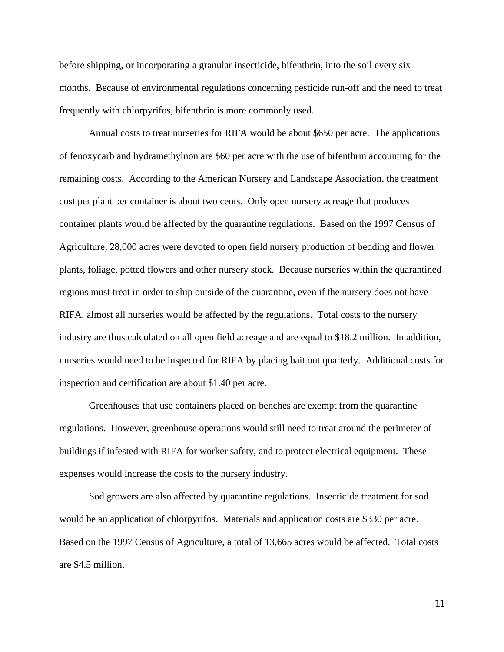before shipping, or incorporating a granular insecticide, bifenthrin, into the soil every six months. Because of environmental regulations concerning pesticide run-off and the need to treat frequently with chlorpyrifos, bifenthrin is more commonly used.

Annual costs to treat nurseries for RIFA would be about \$650 per acre. The applications of fenoxycarb and hydramethylnon are \$60 per acre with the use of bifenthrin accounting for the remaining costs. According to the American Nursery and Landscape Association, the treatment cost per plant per container is about two cents. Only open nursery acreage that produces container plants would be affected by the quarantine regulations. Based on the 1997 Census of Agriculture, 28,000 acres were devoted to open field nursery production of bedding and flower plants, foliage, potted flowers and other nursery stock. Because nurseries within the quarantined regions must treat in order to ship outside of the quarantine, even if the nursery does not have RIFA, almost all nurseries would be affected by the regulations. Total costs to the nursery industry are thus calculated on all open field acreage and are equal to \$18.2 million. In addition, nurseries would need to be inspected for RIFA by placing bait out quarterly. Additional costs for inspection and certification are about \$1.40 per acre.

Greenhouses that use containers placed on benches are exempt from the quarantine regulations. However, greenhouse operations would still need to treat around the perimeter of buildings if infested with RIFA for worker safety, and to protect electrical equipment. These expenses would increase the costs to the nursery industry.

Sod growers are also affected by quarantine regulations. Insecticide treatment for sod would be an application of chlorpyrifos. Materials and application costs are \$330 per acre. Based on the 1997 Census of Agriculture, a total of 13,665 acres would be affected. Total costs are \$4.5 million.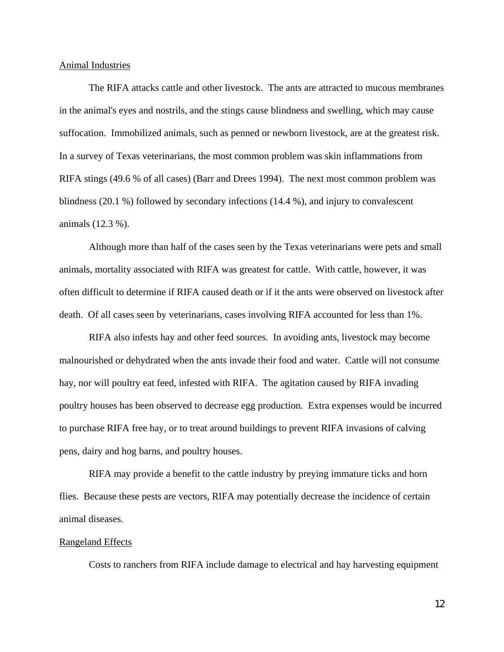### Animal Industries

The RIFA attacks cattle and other livestock. The ants are attracted to mucous membranes in the animal's eyes and nostrils, and the stings cause blindness and swelling, which may cause suffocation. Immobilized animals, such as penned or newborn livestock, are at the greatest risk. In a survey of Texas veterinarians, the most common problem was skin inflammations from RIFA stings (49.6 % of all cases) (Barr and Drees 1994). The next most common problem was blindness (20.1 %) followed by secondary infections (14.4 %), and injury to convalescent animals (12.3 %).

Although more than half of the cases seen by the Texas veterinarians were pets and small animals, mortality associated with RIFA was greatest for cattle. With cattle, however, it was often difficult to determine if RIFA caused death or if it the ants were observed on livestock after death. Of all cases seen by veterinarians, cases involving RIFA accounted for less than 1%.

RIFA also infests hay and other feed sources. In avoiding ants, livestock may become malnourished or dehydrated when the ants invade their food and water. Cattle will not consume hay, nor will poultry eat feed, infested with RIFA. The agitation caused by RIFA invading poultry houses has been observed to decrease egg production. Extra expenses would be incurred to purchase RIFA free hay, or to treat around buildings to prevent RIFA invasions of calving pens, dairy and hog barns, and poultry houses.

RIFA may provide a benefit to the cattle industry by preying immature ticks and horn flies. Because these pests are vectors, RIFA may potentially decrease the incidence of certain animal diseases.

#### Rangeland Effects

Costs to ranchers from RIFA include damage to electrical and hay harvesting equipment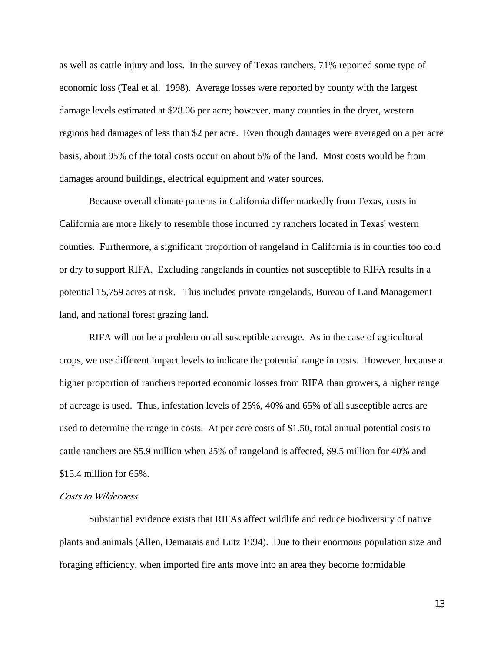as well as cattle injury and loss. In the survey of Texas ranchers, 71% reported some type of economic loss (Teal et al. 1998). Average losses were reported by county with the largest damage levels estimated at \$28.06 per acre; however, many counties in the dryer, western regions had damages of less than \$2 per acre. Even though damages were averaged on a per acre basis, about 95% of the total costs occur on about 5% of the land. Most costs would be from damages around buildings, electrical equipment and water sources.

Because overall climate patterns in California differ markedly from Texas, costs in California are more likely to resemble those incurred by ranchers located in Texas' western counties. Furthermore, a significant proportion of rangeland in California is in counties too cold or dry to support RIFA. Excluding rangelands in counties not susceptible to RIFA results in a potential 15,759 acres at risk. This includes private rangelands, Bureau of Land Management land, and national forest grazing land.

RIFA will not be a problem on all susceptible acreage. As in the case of agricultural crops, we use different impact levels to indicate the potential range in costs. However, because a higher proportion of ranchers reported economic losses from RIFA than growers, a higher range of acreage is used. Thus, infestation levels of 25%, 40% and 65% of all susceptible acres are used to determine the range in costs. At per acre costs of \$1.50, total annual potential costs to cattle ranchers are \$5.9 million when 25% of rangeland is affected, \$9.5 million for 40% and \$15.4 million for 65%.

## *Costs to Wilderness*

Substantial evidence exists that RIFAs affect wildlife and reduce biodiversity of native plants and animals (Allen, Demarais and Lutz 1994). Due to their enormous population size and foraging efficiency, when imported fire ants move into an area they become formidable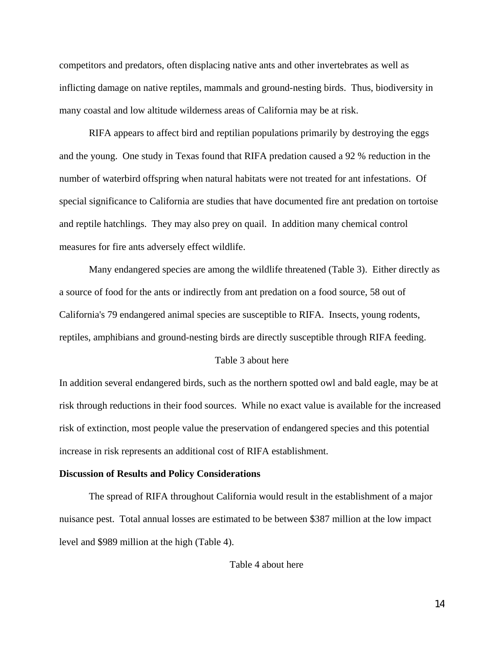competitors and predators, often displacing native ants and other invertebrates as well as inflicting damage on native reptiles, mammals and ground-nesting birds. Thus, biodiversity in many coastal and low altitude wilderness areas of California may be at risk.

RIFA appears to affect bird and reptilian populations primarily by destroying the eggs and the young. One study in Texas found that RIFA predation caused a 92 % reduction in the number of waterbird offspring when natural habitats were not treated for ant infestations. Of special significance to California are studies that have documented fire ant predation on tortoise and reptile hatchlings. They may also prey on quail. In addition many chemical control measures for fire ants adversely effect wildlife.

Many endangered species are among the wildlife threatened (Table 3). Either directly as a source of food for the ants or indirectly from ant predation on a food source, 58 out of California's 79 endangered animal species are susceptible to RIFA. Insects, young rodents, reptiles, amphibians and ground-nesting birds are directly susceptible through RIFA feeding.

## Table 3 about here

In addition several endangered birds, such as the northern spotted owl and bald eagle, may be at risk through reductions in their food sources. While no exact value is available for the increased risk of extinction, most people value the preservation of endangered species and this potential increase in risk represents an additional cost of RIFA establishment.

### **Discussion of Results and Policy Considerations**

The spread of RIFA throughout California would result in the establishment of a major nuisance pest. Total annual losses are estimated to be between \$387 million at the low impact level and \$989 million at the high (Table 4).

#### Table 4 about here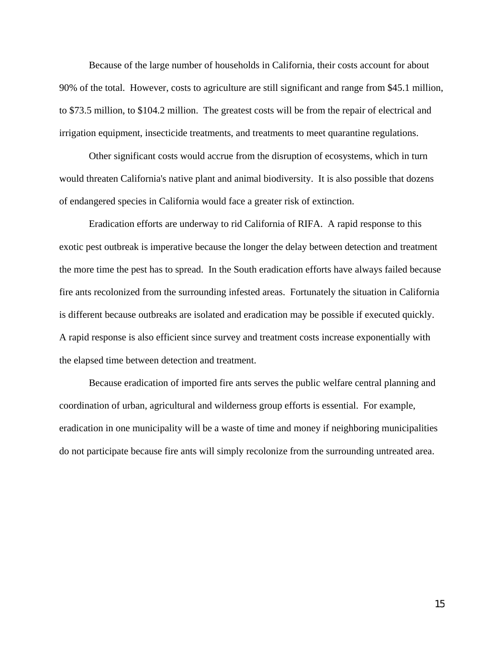Because of the large number of households in California, their costs account for about 90% of the total. However, costs to agriculture are still significant and range from \$45.1 million, to \$73.5 million, to \$104.2 million. The greatest costs will be from the repair of electrical and irrigation equipment, insecticide treatments, and treatments to meet quarantine regulations.

Other significant costs would accrue from the disruption of ecosystems, which in turn would threaten California's native plant and animal biodiversity. It is also possible that dozens of endangered species in California would face a greater risk of extinction.

Eradication efforts are underway to rid California of RIFA. A rapid response to this exotic pest outbreak is imperative because the longer the delay between detection and treatment the more time the pest has to spread. In the South eradication efforts have always failed because fire ants recolonized from the surrounding infested areas. Fortunately the situation in California is different because outbreaks are isolated and eradication may be possible if executed quickly. A rapid response is also efficient since survey and treatment costs increase exponentially with the elapsed time between detection and treatment.

Because eradication of imported fire ants serves the public welfare central planning and coordination of urban, agricultural and wilderness group efforts is essential. For example, eradication in one municipality will be a waste of time and money if neighboring municipalities do not participate because fire ants will simply recolonize from the surrounding untreated area.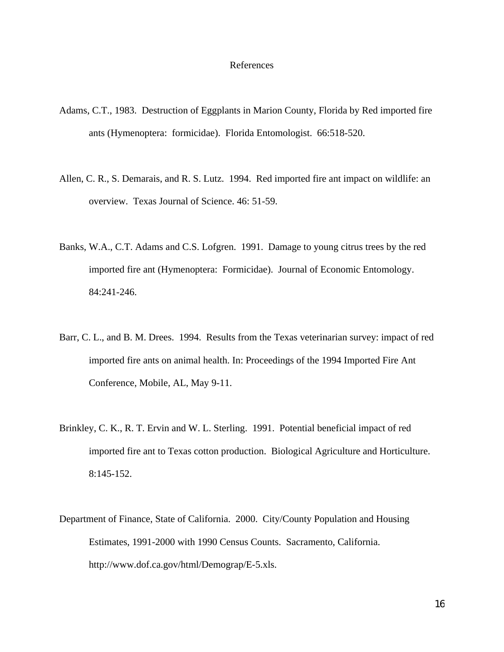### References

- Adams, C.T., 1983. Destruction of Eggplants in Marion County, Florida by Red imported fire ants (Hymenoptera: formicidae). Florida Entomologist. 66:518-520.
- Allen, C. R., S. Demarais, and R. S. Lutz. 1994. Red imported fire ant impact on wildlife: an overview. Texas Journal of Science. 46: 51-59.
- Banks, W.A., C.T. Adams and C.S. Lofgren. 1991. Damage to young citrus trees by the red imported fire ant (Hymenoptera: Formicidae). Journal of Economic Entomology. 84:241-246.
- Barr, C. L., and B. M. Drees. 1994. Results from the Texas veterinarian survey: impact of red imported fire ants on animal health. In: Proceedings of the 1994 Imported Fire Ant Conference, Mobile, AL, May 9-11.
- Brinkley, C. K., R. T. Ervin and W. L. Sterling. 1991. Potential beneficial impact of red imported fire ant to Texas cotton production. Biological Agriculture and Horticulture. 8:145-152.
- Department of Finance, State of California. 2000. City/County Population and Housing Estimates, 1991-2000 with 1990 Census Counts. Sacramento, California. http://www.dof.ca.gov/html/Demograp/E-5.xls.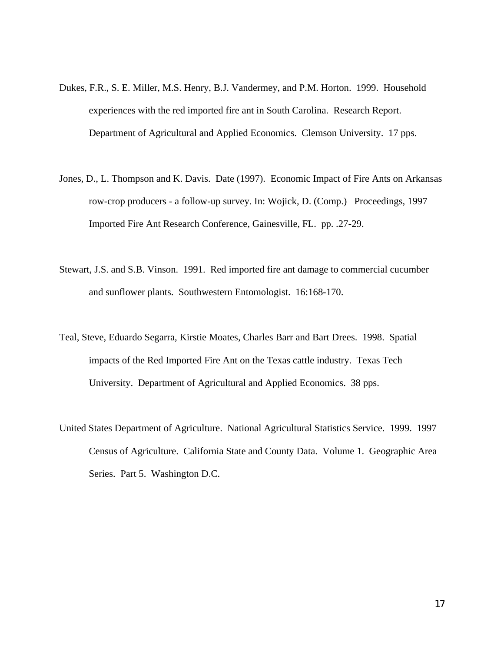- Dukes, F.R., S. E. Miller, M.S. Henry, B.J. Vandermey, and P.M. Horton. 1999. Household experiences with the red imported fire ant in South Carolina. Research Report. Department of Agricultural and Applied Economics. Clemson University. 17 pps.
- Jones, D., L. Thompson and K. Davis. Date (1997). Economic Impact of Fire Ants on Arkansas row-crop producers - a follow-up survey. In: Wojick, D. (Comp.) Proceedings, 1997 Imported Fire Ant Research Conference, Gainesville, FL. pp. .27-29.
- Stewart, J.S. and S.B. Vinson. 1991. Red imported fire ant damage to commercial cucumber and sunflower plants. Southwestern Entomologist. 16:168-170.
- Teal, Steve, Eduardo Segarra, Kirstie Moates, Charles Barr and Bart Drees. 1998. Spatial impacts of the Red Imported Fire Ant on the Texas cattle industry. Texas Tech University. Department of Agricultural and Applied Economics. 38 pps.
- United States Department of Agriculture. National Agricultural Statistics Service. 1999. 1997 Census of Agriculture. California State and County Data. Volume 1. Geographic Area Series. Part 5. Washington D.C.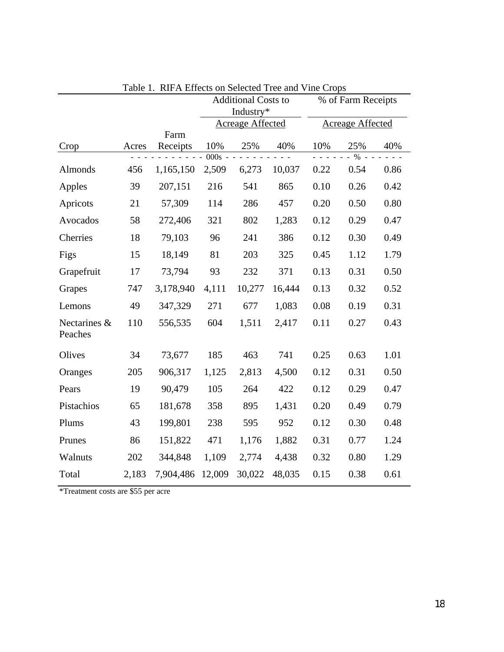|                         |       |                  | radio 1. Kii A Lifects on belected Tree and Vine Crops<br><b>Additional Costs to</b><br>Industry* |        | % of Farm Receipts |      |                        |      |
|-------------------------|-------|------------------|---------------------------------------------------------------------------------------------------|--------|--------------------|------|------------------------|------|
|                         |       |                  | Acreage Affected                                                                                  |        | Acreage Affected   |      |                        |      |
| Crop                    | Acres | Farm<br>Receipts | 10%<br>$\overline{000s}$                                                                          | 25%    | 40%                | 10%  | 25%<br>$\overline{\%}$ | 40%  |
| Almonds                 | 456   | 1,165,150        | 2,509                                                                                             | 6,273  | 10,037             | 0.22 | 0.54                   | 0.86 |
| Apples                  | 39    | 207,151          | 216                                                                                               | 541    | 865                | 0.10 | 0.26                   | 0.42 |
| Apricots                | 21    | 57,309           | 114                                                                                               | 286    | 457                | 0.20 | 0.50                   | 0.80 |
| Avocados                | 58    | 272,406          | 321                                                                                               | 802    | 1,283              | 0.12 | 0.29                   | 0.47 |
| Cherries                | 18    | 79,103           | 96                                                                                                | 241    | 386                | 0.12 | 0.30                   | 0.49 |
| Figs                    | 15    | 18,149           | 81                                                                                                | 203    | 325                | 0.45 | 1.12                   | 1.79 |
| Grapefruit              | 17    | 73,794           | 93                                                                                                | 232    | 371                | 0.13 | 0.31                   | 0.50 |
| Grapes                  | 747   | 3,178,940        | 4,111                                                                                             | 10,277 | 16,444             | 0.13 | 0.32                   | 0.52 |
| Lemons                  | 49    | 347,329          | 271                                                                                               | 677    | 1,083              | 0.08 | 0.19                   | 0.31 |
| Nectarines &<br>Peaches | 110   | 556,535          | 604                                                                                               | 1,511  | 2,417              | 0.11 | 0.27                   | 0.43 |
| Olives                  | 34    | 73,677           | 185                                                                                               | 463    | 741                | 0.25 | 0.63                   | 1.01 |
| Oranges                 | 205   | 906,317          | 1,125                                                                                             | 2,813  | 4,500              | 0.12 | 0.31                   | 0.50 |
| Pears                   | 19    | 90,479           | 105                                                                                               | 264    | 422                | 0.12 | 0.29                   | 0.47 |
| Pistachios              | 65    | 181,678          | 358                                                                                               | 895    | 1,431              | 0.20 | 0.49                   | 0.79 |
| Plums                   | 43    | 199,801          | 238                                                                                               | 595    | 952                | 0.12 | 0.30                   | 0.48 |
| Prunes                  | 86    | 151,822          | 471                                                                                               | 1,176  | 1,882              | 0.31 | 0.77                   | 1.24 |
| Walnuts                 | 202   | 344,848          | 1,109                                                                                             | 2,774  | 4,438              | 0.32 | 0.80                   | 1.29 |
| Total                   | 2,183 | 7,904,486        | 12,009                                                                                            | 30,022 | 48,035             | 0.15 | 0.38                   | 0.61 |

Table 1. RIFA Effects on Selected Tree and Vine Crops

\*Treatment costs are \$55 per acre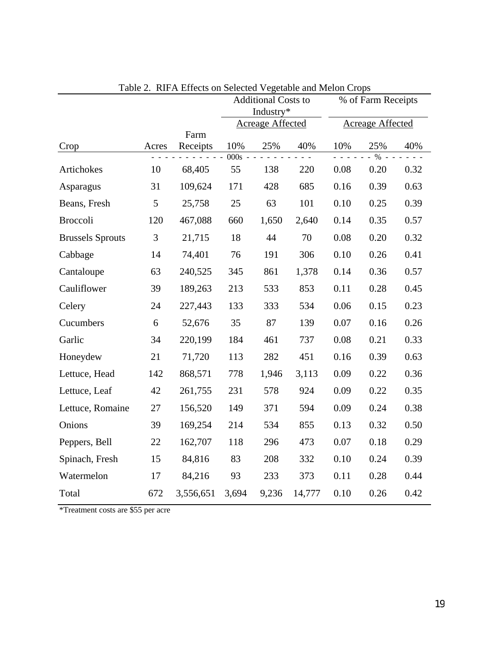|                         |       |           | Tuble 2. The <i>FV</i> Effects on Defected $\sqrt{C}$ etable and meton evops<br><b>Additional Costs to</b><br>Industry* |       | % of Farm Receipts      |      |                      |      |
|-------------------------|-------|-----------|-------------------------------------------------------------------------------------------------------------------------|-------|-------------------------|------|----------------------|------|
|                         |       |           | Acreage Affected                                                                                                        |       | <b>Acreage Affected</b> |      |                      |      |
|                         |       | Farm      |                                                                                                                         |       |                         |      |                      |      |
| Crop                    | Acres | Receipts  | 10%<br>$000s - -$                                                                                                       | 25%   | 40%                     | 10%  | 25%<br>$\frac{0}{6}$ | 40%  |
| Artichokes              | 10    | 68,405    | 55                                                                                                                      | 138   | 220                     | 0.08 | 0.20                 | 0.32 |
| Asparagus               | 31    | 109,624   | 171                                                                                                                     | 428   | 685                     | 0.16 | 0.39                 | 0.63 |
| Beans, Fresh            | 5     | 25,758    | 25                                                                                                                      | 63    | 101                     | 0.10 | 0.25                 | 0.39 |
| <b>Broccoli</b>         | 120   | 467,088   | 660                                                                                                                     | 1,650 | 2,640                   | 0.14 | 0.35                 | 0.57 |
| <b>Brussels Sprouts</b> | 3     | 21,715    | 18                                                                                                                      | 44    | 70                      | 0.08 | 0.20                 | 0.32 |
| Cabbage                 | 14    | 74,401    | 76                                                                                                                      | 191   | 306                     | 0.10 | 0.26                 | 0.41 |
| Cantaloupe              | 63    | 240,525   | 345                                                                                                                     | 861   | 1,378                   | 0.14 | 0.36                 | 0.57 |
| Cauliflower             | 39    | 189,263   | 213                                                                                                                     | 533   | 853                     | 0.11 | 0.28                 | 0.45 |
| Celery                  | 24    | 227,443   | 133                                                                                                                     | 333   | 534                     | 0.06 | 0.15                 | 0.23 |
| Cucumbers               | 6     | 52,676    | 35                                                                                                                      | 87    | 139                     | 0.07 | 0.16                 | 0.26 |
| Garlic                  | 34    | 220,199   | 184                                                                                                                     | 461   | 737                     | 0.08 | 0.21                 | 0.33 |
| Honeydew                | 21    | 71,720    | 113                                                                                                                     | 282   | 451                     | 0.16 | 0.39                 | 0.63 |
| Lettuce, Head           | 142   | 868,571   | 778                                                                                                                     | 1,946 | 3,113                   | 0.09 | 0.22                 | 0.36 |
| Lettuce, Leaf           | 42    | 261,755   | 231                                                                                                                     | 578   | 924                     | 0.09 | 0.22                 | 0.35 |
| Lettuce, Romaine        | 27    | 156,520   | 149                                                                                                                     | 371   | 594                     | 0.09 | 0.24                 | 0.38 |
| Onions                  | 39    | 169,254   | 214                                                                                                                     | 534   | 855                     | 0.13 | 0.32                 | 0.50 |
| Peppers, Bell           | 22    | 162,707   | 118                                                                                                                     | 296   | 473                     | 0.07 | 0.18                 | 0.29 |
| Spinach, Fresh          | 15    | 84,816    | 83                                                                                                                      | 208   | 332                     | 0.10 | 0.24                 | 0.39 |
| Watermelon              | 17    | 84,216    | 93                                                                                                                      | 233   | 373                     | 0.11 | 0.28                 | 0.44 |
| Total                   | 672   | 3,556,651 | 3,694                                                                                                                   | 9,236 | 14,777                  | 0.10 | 0.26                 | 0.42 |

Table 2. RIFA Effects on Selected Vegetable and Melon Crops

\*Treatment costs are \$55 per acre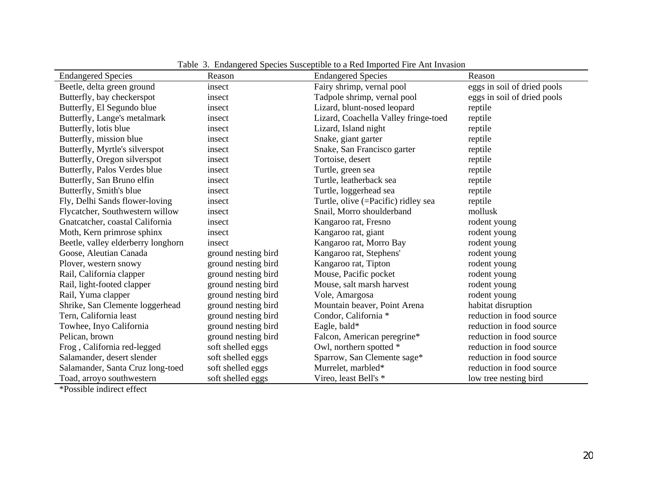| <b>Endangered Species</b>          | Reason              | <b>Endangered Species</b>            | Reason                      |
|------------------------------------|---------------------|--------------------------------------|-----------------------------|
| Beetle, delta green ground         | insect              | Fairy shrimp, vernal pool            | eggs in soil of dried pools |
| Butterfly, bay checkerspot         | insect              | Tadpole shrimp, vernal pool          | eggs in soil of dried pools |
| Butterfly, El Segundo blue         | insect              | Lizard, blunt-nosed leopard          | reptile                     |
| Butterfly, Lange's metalmark       | insect              | Lizard, Coachella Valley fringe-toed | reptile                     |
| Butterfly, lotis blue              | insect              | Lizard, Island night                 | reptile                     |
| Butterfly, mission blue            | insect              | Snake, giant garter                  | reptile                     |
| Butterfly, Myrtle's silverspot     | insect              | Snake, San Francisco garter          | reptile                     |
| Butterfly, Oregon silverspot       | insect              | Tortoise, desert                     | reptile                     |
| Butterfly, Palos Verdes blue       | insect              | Turtle, green sea                    | reptile                     |
| Butterfly, San Bruno elfin         | insect              | Turtle, leatherback sea              | reptile                     |
| Butterfly, Smith's blue            | insect              | Turtle, loggerhead sea               | reptile                     |
| Fly, Delhi Sands flower-loving     | insect              | Turtle, olive (=Pacific) ridley sea  | reptile                     |
| Flycatcher, Southwestern willow    | insect              | Snail, Morro shoulderband            | mollusk                     |
| Gnatcatcher, coastal California    | insect              | Kangaroo rat, Fresno                 | rodent young                |
| Moth, Kern primrose sphinx         | insect              | Kangaroo rat, giant                  | rodent young                |
| Beetle, valley elderberry longhorn | insect              | Kangaroo rat, Morro Bay              | rodent young                |
| Goose, Aleutian Canada             | ground nesting bird | Kangaroo rat, Stephens'              | rodent young                |
| Plover, western snowy              | ground nesting bird | Kangaroo rat, Tipton                 | rodent young                |
| Rail, California clapper           | ground nesting bird | Mouse, Pacific pocket                | rodent young                |
| Rail, light-footed clapper         | ground nesting bird | Mouse, salt marsh harvest            | rodent young                |
| Rail, Yuma clapper                 | ground nesting bird | Vole, Amargosa                       | rodent young                |
| Shrike, San Clemente loggerhead    | ground nesting bird | Mountain beaver, Point Arena         | habitat disruption          |
| Tern, California least             | ground nesting bird | Condor, California *                 | reduction in food source    |
| Towhee, Inyo California            | ground nesting bird | Eagle, bald*                         | reduction in food source    |
| Pelican, brown                     | ground nesting bird | Falcon, American peregrine*          | reduction in food source    |
| Frog, California red-legged        | soft shelled eggs   | Owl, northern spotted *              | reduction in food source    |
| Salamander, desert slender         | soft shelled eggs   | Sparrow, San Clemente sage*          | reduction in food source    |
| Salamander, Santa Cruz long-toed   | soft shelled eggs   | Murrelet, marbled*                   | reduction in food source    |
| Toad, arroyo southwestern          | soft shelled eggs   | Vireo, least Bell's *                | low tree nesting bird       |

Table 3. Endangered Species Susceptible to a Red Imported Fire Ant Invasion

\*Possible indirect effect